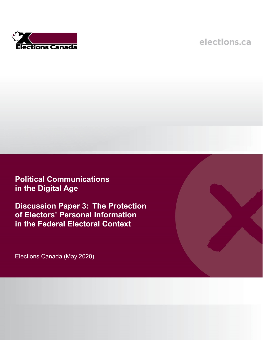

# elections.ca

**Political Communications in the Digital Age**

**Discussion Paper 3: The Protection of Electors' Personal Information in the Federal Electoral Context**

Elections Canada (May 2020)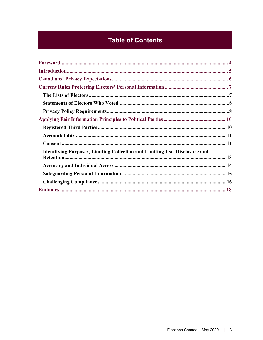## **Table of Contents**

| <b>Identifying Purposes, Limiting Collection and Limiting Use, Disclosure and</b> |  |
|-----------------------------------------------------------------------------------|--|
|                                                                                   |  |
|                                                                                   |  |
|                                                                                   |  |
|                                                                                   |  |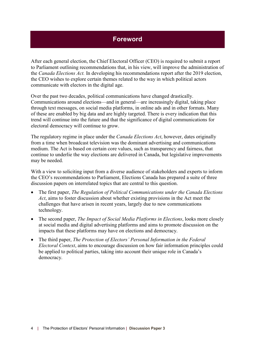### **Foreword**

<span id="page-3-0"></span>After each general election, the Chief Electoral Officer (CEO) is required to submit a report to Parliament outlining recommendations that, in his view, will improve the administration of the *Canada Elections Act.* In developing his recommendations report after the 2019 election, the CEO wishes to explore certain themes related to the way in which political actors communicate with electors in the digital age.

Over the past two decades, political communications have changed drastically. Communications around elections—and in general—are increasingly digital, taking place through text messages, on social media platforms, in online ads and in other formats. Many of these are enabled by big data and are highly targeted. There is every indication that this trend will continue into the future and that the significance of digital communications for electoral democracy will continue to grow.

The regulatory regime in place under the *Canada Elections Act*, however, dates originally from a time when broadcast television was the dominant advertising and communications medium. The Act is based on certain core values, such as transparency and fairness, that continue to underlie the way elections are delivered in Canada, but legislative improvements may be needed.

With a view to soliciting input from a diverse audience of stakeholders and experts to inform the CEO's recommendations to Parliament, Elections Canada has prepared a suite of three discussion papers on interrelated topics that are central to this question.

- The first paper, *The Regulation of Political Communications under the Canada Elections Act*, aims to foster discussion about whether existing provisions in the Act meet the challenges that have arisen in recent years, largely due to new communications technology.
- The second paper, *The Impact of Social Media Platforms in Elections*, looks more closely at social media and digital advertising platforms and aims to promote discussion on the impacts that these platforms may have on elections and democracy.
- The third paper, *The Protection of Electors' Personal Information in the Federal Electoral Context*, aims to encourage discussion on how fair information principles could be applied to political parties, taking into account their unique role in Canada's democracy.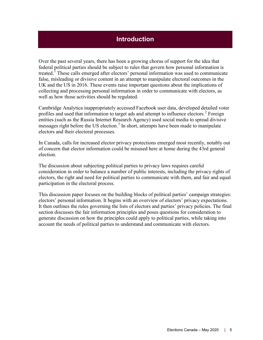### **Introduction**

<span id="page-4-0"></span>Over the past several years, there has been a growing chorus of support for the idea that federal political parties should be subject to rules that govern how personal information is treated. [1](#page-17-1) These calls emerged after electors' personal information was used to communicate false, misleading or divisive content in an attempt to manipulate electoral outcomes in the UK and the US in 2016. These events raise important questions about the implications of collecting and processing personal information in order to communicate with electors, as well as how those activities should be regulated.

Cambridge Analytica inappropriately accessed Facebook user data, developed detailed voter profiles and used that information to target ads and attempt to influence electors. [2](#page-17-2) Foreign entities (such as the Russia Internet Research Agency) used social media to spread divisive messages right before the US election.<sup>[3](#page-17-3)</sup> In short, attempts have been made to manipulate electors and their electoral processes.

In Canada, calls for increased elector privacy protections emerged most recently, notably out of concern that elector information could be misused here at home during the 43rd general election.

The discussion about subjecting political parties to privacy laws requires careful consideration in order to balance a number of public interests, including the privacy rights of electors, the right and need for political parties to communicate with them, and fair and equal participation in the electoral process.

This discussion paper focuses on the building blocks of political parties' campaign strategies: electors' personal information. It begins with an overview of electors' privacy expectations. It then outlines the rules governing the lists of electors and parties' privacy policies. The final section discusses the fair information principles and poses questions for consideration to generate discussion on how the principles could apply to political parties, while taking into account the needs of political parties to understand and communicate with electors.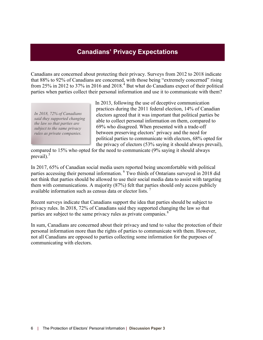### **Canadians' Privacy Expectations**

<span id="page-5-0"></span>Canadians are concerned about protecting their privacy. Surveys from 2012 to 2018 indicate that 88% to 92% of Canadians are concerned, with those being "extremely concerned" rising from 25% in 2012 to 37% in 2016 and 2018.<sup>[4](#page-17-4)</sup> But what do Canadians expect of their political parties when parties collect their personal information and use it to communicate with them?

*In 2018, 72% of Canadians said they supported changing the law so that parties are subject to the same privacy rules as private companies.*

In 2013, following the use of deceptive communication practices during the 2011 federal election, 14% of Canadian electors agreed that it was important that political parties be able to collect personal information on them, compared to 69% who disagreed. When presented with a trade-off between preserving electors' privacy and the need for political parties to communicate with electors, 68% opted for the privacy of electors (53% saying it should always prevail),

compared to 15% who opted for the need to communicate (9% saying it should always prevail). $5$ 

In 2017, 65% of Canadian social media users reported being uncomfortable with political parties accessing their personal information. <sup>[6](#page-17-6)</sup> Two thirds of Ontarians surveyed in 2018 did not think that parties should be allowed to use their social media data to assist with targeting them with communications. A majority (87%) felt that parties should only access publicly available information such as census data or elector lists. [7](#page-18-0)

Recent surveys indicate that Canadians support the idea that parties should be subject to privacy rules. In 2018, 72% of Canadians said they supported changing the law so that parties are subject to the same privacy rules as private companies.<sup>[8](#page-18-1)</sup>

In sum, Canadians are concerned about their privacy and tend to value the protection of their personal information more than the rights of parties to communicate with them. However, not all Canadians are opposed to parties collecting some information for the purposes of communicating with electors.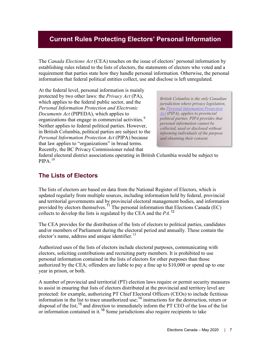### <span id="page-6-0"></span>**Current Rules Protecting Electors' Personal Information**

The *Canada Elections Act* (CEA) touches on the issue of electors' personal information by establishing rules related to the lists of electors, the statements of electors who voted and a requirement that parties state how they handle personal information. Otherwise, the personal information that federal political entities collect, use and disclose is left unregulated.

At the federal level, personal information is mainly protected by two other laws: the *Privacy Act* (PA), which applies to the federal public sector, and the *Personal Information Protection and Electronic Documents Act* (PIPEDA), which applies to organizations that engage in commercial activities.<sup>[9](#page-18-2)</sup> Neither applies to federal political parties. However, in British Columbia, political parties are subject to the *Personal Information Protection Act* (PIPA) because that law applies to "organizations" in broad terms. Recently, the BC Privacy Commissioner ruled that

*British Columbia is the only Canadian jurisdiction where privacy legislation, the [Personal Information Protection](http://www.bclaws.ca/civix/document/id/complete/statreg/03063_01#section3)  [Act](http://www.bclaws.ca/civix/document/id/complete/statreg/03063_01#section3) (PIPA), applies to provincial political parties. PIPA provides that personal information cannot be collected, used or disclosed without informing individuals of the purpose and obtaining their consent.* 

federal electoral district associations operating in British Columbia would be subject to  $PIPA$ <sup>[10](#page-18-3)</sup>

### <span id="page-6-1"></span>**The Lists of Electors**

The lists of electors are based on data from the National Register of Electors, which is updated regularly from multiple sources, including information held by federal, provincial and territorial governments and by provincial electoral management bodies, and information provided by electors themselves.<sup> $11$ </sup> The personal information that Elections Canada (EC) collects to develop the lists is regulated by the CEA and the *PA*.<sup>[12](#page-18-5)</sup>

The CEA provides for the distribution of the lists of electors to political parties, candidates and/or members of Parliament during the electoral period and annually. These contain the elector's name, address and unique identifier.<sup>[13](#page-18-6)</sup>

Authorized uses of the lists of electors include electoral purposes, communicating with electors, soliciting contributions and recruiting party members. It is prohibited to use personal information contained in the lists of electors for other purposes than those authorized by the CEA; offenders are liable to pay a fine up to \$10,000 or spend up to one year in prison, or both.

A number of provincial and territorial (PT) election laws require or permit security measures to assist in ensuring that lists of electors distributed at the provincial and territory level are protected: for example, authorizing PT Chief Electoral Officers (CEOs) to include fictitious information in the list to trace unauthorized use;<sup>[14](#page-18-7)</sup> instructions for the destruction, return or disposal of the list;<sup>[15](#page-18-8)</sup> and direction to immediately inform the PT CEO of the loss of the list or information contained in it.<sup>[16](#page-18-9)</sup> Some jurisdictions also require recipients to take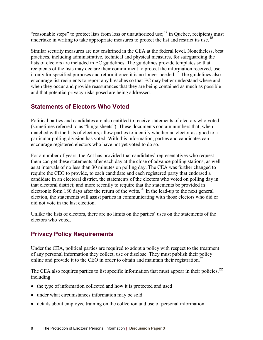"reasonable steps" to protect lists from loss or unauthorized use;<sup>[17](#page-18-10)</sup> in Quebec, recipients must undertake in writing to take appropriate measures to protect the list and restrict its use.<sup>[18](#page-18-11)</sup>

Similar security measures are not enshrined in the CEA at the federal level. Nonetheless, best practices, including administrative, technical and physical measures, for safeguarding the lists of electors are included in EC guidelines. The guidelines provide templates so that recipients of the lists may declare their commitment to protect the information received, use it only for specified purposes and return it once it is no longer needed.[19](#page-18-12) The guidelines also encourage list recipients to report any breaches so that EC may better understand where and when they occur and provide reassurances that they are being contained as much as possible and that potential privacy risks posed are being addressed.

### <span id="page-7-0"></span>**Statements of Electors Who Voted**

Political parties and candidates are also entitled to receive statements of electors who voted (sometimes referred to as "bingo sheets"). These documents contain numbers that, when matched with the lists of electors, allow parties to identify whether an elector assigned to a particular polling division has voted. With this information, parties and candidates can encourage registered electors who have not yet voted to do so.

For a number of years, the Act has provided that candidates' representatives who request them can get these statements after each day at the close of advance polling stations, as well as at intervals of no less than 30 minutes on polling day. The CEA was further changed to require the CEO to provide, to each candidate and each registered party that endorsed a candidate in an electoral district, the statements of the electors who voted on polling day in that electoral district; and more recently to require that the statements be provided in electronic form 180 days after the return of the writs.<sup>[20](#page-18-13)</sup> In the lead-up to the next general election, the statements will assist parties in communicating with those electors who did or did not vote in the last election.

Unlike the lists of electors, there are no limits on the parties' uses on the statements of the electors who voted.

### <span id="page-7-1"></span>**Privacy Policy Requirements**

Under the CEA, political parties are required to adopt a policy with respect to the treatment of any personal information they collect, use or disclose. They must publish their policy online and provide it to the CEO in order to obtain and maintain their registration.<sup>[21](#page-18-14)</sup>

The CEA also requires parties to list specific information that must appear in their policies,<sup>[22](#page-19-0)</sup> including

- the type of information collected and how it is protected and used
- under what circumstances information may be sold
- details about employee training on the collection and use of personal information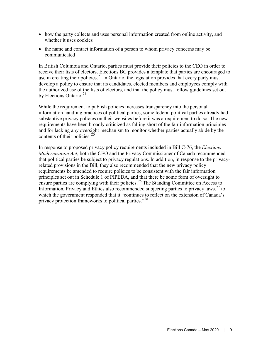- how the party collects and uses personal information created from online activity, and whether it uses cookies
- the name and contact information of a person to whom privacy concerns may be communicated

In British Columbia and Ontario, parties must provide their policies to the CEO in order to receive their lists of electors. Elections BC provides a template that parties are encouraged to use in creating their policies.<sup>[23](#page-19-1)</sup> In Ontario, the legislation provides that every party must develop a policy to ensure that its candidates, elected members and employees comply with the authorized use of the lists of electors, and that the policy must follow guidelines set out by Elections Ontario.<sup>[24](#page-19-2)</sup>

While the requirement to publish policies increases transparency into the personal information handling practices of political parties, some federal political parties already had substantive privacy policies on their websites before it was a requirement to do so. The new requirements have been broadly criticized as falling short of the fair information principles and for lacking any oversight mechanism to monitor whether parties actually abide by the contents of their policies.<sup>[25](#page-19-3)</sup>

In response to proposed privacy policy requirements included in Bill C-76, the *Elections Modernization Act*, both the CEO and the Privacy Commissioner of Canada recommended that political parties be subject to privacy regulations. In addition, in response to the privacyrelated provisions in the Bill, they also recommended that the new privacy policy requirements be amended to require policies to be consistent with the fair information principles set out in Schedule 1 of PIPEDA, and that there be some form of oversight to ensure parties are complying with their policies.<sup>[26](#page-19-4)</sup> The Standing Committee on Access to Information, Privacy and Ethics also recommended subjecting parties to privacy laws,<sup>[27](#page-19-5)</sup> to which the government responded that it "continues to reflect on the extension of Canada's privacy protection frameworks to political parties."<sup>[28](#page-19-6)</sup>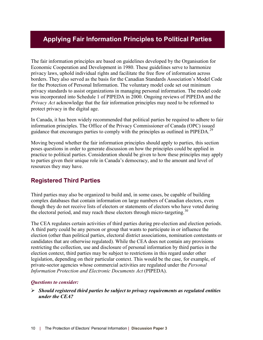### <span id="page-9-0"></span>**Applying Fair Information Principles to Political Parties**

The fair information principles are based on guidelines developed by the Organisation for Economic Cooperation and Development in 1980. These guidelines serve to harmonize privacy laws, uphold individual rights and facilitate the free flow of information across borders. They also served as the basis for the Canadian Standards Association's Model Code for the Protection of Personal Information. The voluntary model code set out minimum privacy standards to assist organizations in managing personal information. The model code was incorporated into Schedule 1 of PIPEDA in 2000. Ongoing reviews of PIPEDA and the *Privacy Act* acknowledge that the fair information principles may need to be reformed to protect privacy in the digital age.

In Canada, it has been widely recommended that political parties be required to adhere to fair information principles. The Office of the Privacy Commissioner of Canada (OPC) issued guidance that encourages parties to comply with the principles as outlined in PIPEDA.<sup>[29](#page-19-7)</sup>

Moving beyond whether the fair information principles should apply to parties, this section poses questions in order to generate discussion on how the principles could be applied in practice to political parties. Consideration should be given to how these principles may apply to parties given their unique role in Canada's democracy, and to the amount and level of resources they may have.

### <span id="page-9-1"></span>**Registered Third Parties**

Third parties may also be organized to build and, in some cases, be capable of building complex databases that contain information on large numbers of Canadian electors, even though they do not receive lists of electors or statements of electors who have voted during the electoral period, and may reach these electors through micro-targeting.<sup>[30](#page-19-8)</sup>

The CEA regulates certain activities of third parties during pre-election and election periods. A third party could be any person or group that wants to participate in or influence the election (other than political parties, electoral district associations, nomination contestants or candidates that are otherwise regulated). While the CEA does not contain any provisions restricting the collection, use and disclosure of personal information by third parties in the election context, third parties may be subject to restrictions in this regard under other legislation, depending on their particular context. This would be the case, for example, of private-sector agencies whose commercial activities are regulated under the *Personal Information Protection and Electronic Documents Act* (PIPEDA).

#### *Questions to consider:*

 *Should registered third parties be subject to privacy requirements as regulated entities under the CEA?*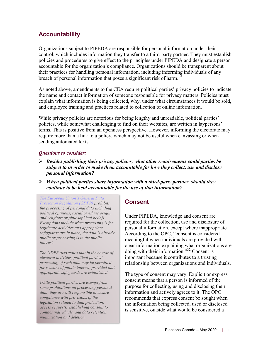### <span id="page-10-0"></span>**Accountability**

Organizations subject to PIPEDA are responsible for personal information under their control, which includes information they transfer to a third-party partner. They must establish policies and procedures to give effect to the principles under PIPEDA and designate a person accountable for the organization's compliance. Organizations should be transparent about their practices for handling personal information, including informing individuals of any breach of personal information that poses a significant risk of harm.<sup>[31](#page-19-9)</sup>

As noted above, amendments to the CEA require political parties' privacy policies to indicate the name and contact information of someone responsible for privacy matters. Policies must explain what information is being collected, why, under what circumstances it would be sold, and employee training and practices related to collection of online information.

While privacy policies are notorious for being lengthy and unreadable, political parties' policies, while somewhat challenging to find on their websites, are written in laypersons' terms. This is positive from an openness perspective. However, informing the electorate may require more than a link to a policy, which may not be useful when canvassing or when sending automated texts.

#### *Questions to consider:*

- *Besides publishing their privacy policies, what other requirements could parties be subject to in order to make them accountable for how they collect, use and disclose personal information?*
- *When political parties share information with a third-party partner, should they continue to be held accountable for the use of that information?*

*[The European Union's General Data](https://edps.europa.eu/data-protection/our-work/subjects/general-data-protection-regulation_en)  [Protection Regulation \(GDPR\)](https://edps.europa.eu/data-protection/our-work/subjects/general-data-protection-regulation_en) prohibits the processing of personal data including political opinions, racial or ethnic origin, and religious or philosophical beliefs. Exemptions include when processing is for legitimate activities and appropriate safeguards are in place, the data is already public or processing is in the public interest.* 

*The GDPR also states that in the course of electoral activities, political parties' processing of such data may be permitted for reasons of public interest, provided that appropriate safeguards are established.*

*While political parties are exempt from some prohibitions on processing personal data, they are still responsible to ensure compliance with provisions of the legislation related to data protection, access requests, establishing consent to contact individuals, and data retention, minimization and deletion.* 

### <span id="page-10-1"></span>**Consent**

Under PIPEDA, knowledge and consent are required for the collection, use and disclosure of personal information, except where inappropriate. According to the OPC, "consent is considered meaningful when individuals are provided with clear information explaining what organizations are doing with their information."<sup>[32](#page-20-0)</sup> Consent is important because it contributes to a trusting relationship between organizations and individuals.

The type of consent may vary. Explicit or express consent means that a person is informed of the purpose for collecting, using and disclosing their information and actively agrees to it. The OPC recommends that express consent be sought when the information being collected, used or disclosed is sensitive, outside what would be considered a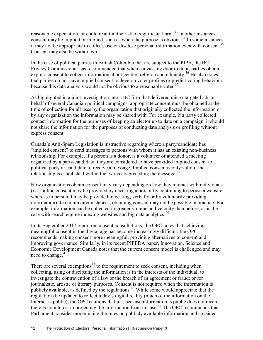reasonable expectation, or could result in the risk of significant harm.<sup>[33](#page-20-1)</sup> In other instances, consent may be implicit or implied, such as when the purpose is obvious.<sup>[34](#page-20-2)</sup> In some instances it may not be appropriate to collect, use or disclose personal information even with consent.<sup>[35](#page-20-3)</sup> Consent may also be withdrawn.

In the case of political parties in British Columbia that are subject to the PIPA, the BC Privacy Commissioner has recommended that when canvassing door to door, parties obtain express consent to collect information about gender, religion and ethnicity.<sup>[36](#page-20-4)</sup> He also notes that parties do not have implied consent to develop voter profiles or predict voting behaviour, because this data analysis would not be obvious to a reasonable voter.<sup>[37](#page-20-5)</sup>

As highlighted in a joint investigation into a BC firm that delivered micro-targeted ads on behalf of several Canadian political campaigns, appropriate consent must be obtained at the time of collection for all uses by the organization that originally collected the information or by any organization the information may be shared with. For example, if a party collected contact information for the purposes of keeping an elector up to date on a campaign, it should not share the information for the purposes of conducting data analysis or profiling without express consent.<sup>[38](#page-20-6)</sup>

Canada's Anti-Spam Legislation is instructive regarding where a party/candidate has "implied consent" to send messages to persons with whom it has an existing non-business relationship. For example, if a person is a donor, is a volunteer or attended a meeting organized by a party/candidate, they are considered to have provided implied consent to a political party or candidate to receive a message. Implied consent is only valid if the relationship is established within the two years preceding the message.<sup>[39](#page-20-7)</sup>

How organizations obtain consent may vary depending on how they interact with individuals (i.e., online consent may be provided by checking a box or by continuing to peruse a website, whereas in person it may be provided in writing, verbally or by voluntarily providing information). In certain circumstances, obtaining consent may not be possible in practice. For example, information can be collected in greater volume and velocity than before, as is the case with search engine indexing websites and big data analytics.<sup>[40](#page-20-8)</sup>

In its September 2017 report on consent consultations, the OPC notes that achieving meaningful consent in the digital age has become increasingly difficult; the OPC recommends making consent more meaningful, providing alternatives to consent and improving governance. Similarly, in its recent PIPEDA paper, Innovation, Science and Economic Development Canada notes that the current consent model is challenged and may need to change. $41$ 

There are several exemptions<sup> $42$ </sup> to the requirement to seek consent, including when collecting, using or disclosing the information is in the interests of the individual; to investigate the contravention of a law or the breach of an agreement or fraud; or for journalistic, artistic or literary purposes. Consent is not required when the information is publicly available, as defined by the regulations.<sup>[43](#page-21-1)</sup> While some would appreciate that the regulations be updated to reflect today's digital reality (much of the information on the Internet is public), the OPC cautions that just because information is public does not mean there is no interest in protecting the information from misuse.<sup> $44$ </sup> The OPC recommends that Parliament consider modernizing the rules on publicly available information and consider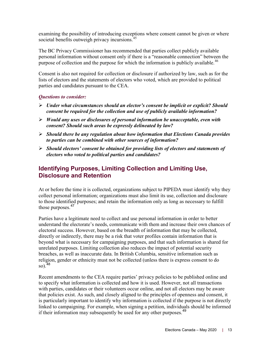examining the possibility of introducing exceptions where consent cannot be given or where societal benefits outweigh privacy incursions.<sup>[45](#page-21-3)</sup>

The BC Privacy Commissioner has recommended that parties collect publicly available personal information without consent only if there is a "reasonable connection" between the purpose of collection and the purpose for which the information is publicly available.<sup>[46](#page-21-4)</sup>

Consent is also not required for collection or disclosure if authorized by law, such as for the lists of electors and the statements of electors who voted, which are provided to political parties and candidates pursuant to the CEA.

#### *Questions to consider:*

- *Under what circumstances should an elector's consent be implicit or explicit? Should consent be required for the collection and use of publicly available information?*
- *Would any uses or disclosures of personal information be unacceptable, even with consent? Should such areas be expressly delineated by law?*
- *Should there be any regulation about how information that Elections Canada provides to parties can be combined with other sources of information?*
- *Should electors' consent be obtained for providing lists of electors and statements of electors who voted to political parties and candidates?*

### <span id="page-12-0"></span>**Identifying Purposes, Limiting Collection and Limiting Use, Disclosure and Retention**

At or before the time it is collected, organizations subject to PIPEDA must identify why they collect personal information; organizations must also limit its use, collection and disclosure to those identified purposes; and retain the information only as long as necessary to fulfill those purposes.<sup>[47](#page-21-5)</sup>

Parties have a legitimate need to collect and use personal information in order to better understand the electorate's needs, communicate with them and increase their own chances of electoral success. However, based on the breadth of information that may be collected, directly or indirectly, there may be a risk that voter profiles contain information that is beyond what is necessary for campaigning purposes, and that such information is shared for unrelated purposes. Limiting collection also reduces the impact of potential security breaches, as well as inaccurate data. In British Columbia, sensitive information such as religion, gender or ethnicity must not be collected (unless there is express consent to do so). [48](#page-21-6)

Recent amendments to the CEA require parties' privacy policies to be published online and to specify what information is collected and how it is used. However, not all transactions with parties, candidates or their volunteers occur online, and not all electors may be aware that policies exist. As such, and closely aligned to the principles of openness and consent, it is particularly important to identify why information is collected if the purpose is not directly linked to campaigning. For example, when signing a petition, individuals should be informed if their information may subsequently be used for any other purposes.<sup>[49](#page-21-7)</sup>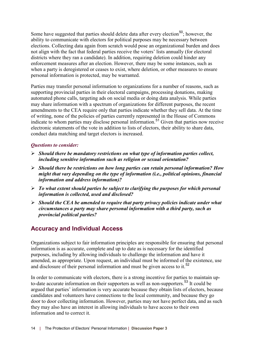Some have suggested that parties should delete data after every election<sup>[50](#page-21-8)</sup>; however, the ability to communicate with electors for political purposes may be necessary between elections. Collecting data again from scratch would pose an organizational burden and does not align with the fact that federal parties receive the voters' lists annually (for electoral districts where they ran a candidate). In addition, requiring deletion could hinder any enforcement measures after an election. However, there may be some instances, such as when a party is deregistered or ceases to exist, where deletion, or other measures to ensure personal information is protected, may be warranted.

Parties may transfer personal information to organizations for a number of reasons, such as supporting provincial parties in their electoral campaigns, processing donations, making automated phone calls, targeting ads on social media or doing data analysis. While parties may share information with a spectrum of organizations for different purposes, the recent amendments to the CEA require only that parties indicate whether they sell data. At the time of writing, none of the policies of parties currently represented in the House of Commons indicate to whom parties may disclose personal information.<sup>[51](#page-21-9)</sup> Given that parties now receive electronic statements of the vote in addition to lists of electors, their ability to share data, conduct data matching and target electors is increased.

#### *Questions to consider:*

- *Should there be mandatory restrictions on what type of information parties collect, including sensitive information such as religion or sexual orientation?*
- *Should there be restrictions on how long parties can retain personal information? How might that vary depending on the type of information (i.e., political opinions, financial information and address information)?*
- *To what extent should parties be subject to clarifying the purposes for which personal information is collected, used and disclosed?*
- *Should the CEA be amended to require that party privacy policies indicate under what circumstances a party may share personal information with a third party, such as provincial political parties?*

### <span id="page-13-0"></span>**Accuracy and Individual Access**

Organizations subject to fair information principles are responsible for ensuring that personal information is as accurate, complete and up to date as is necessary for the identified purposes, including by allowing individuals to challenge the information and have it amended, as appropriate. Upon request, an individual must be informed of the existence, use and disclosure of their personal information and must be given access to it.<sup>[52](#page-21-10)</sup>

In order to communicate with electors, there is a strong incentive for parties to maintain up-to-date accurate information on their supporters as well as non-supporters.<sup>[53](#page-21-11)</sup> It could be argued that parties' information is very accurate because they obtain lists of electors, because candidates and volunteers have connections to the local community, and because they go door to door collecting information. However, parties may not have perfect data, and as such they may also have an interest in allowing individuals to have access to their own information and to correct it.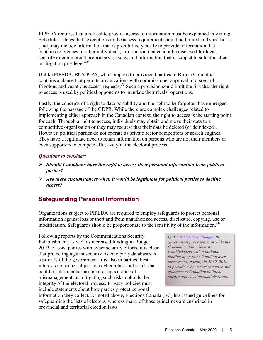PIPEDA requires that a refusal to provide access to information must be explained in writing. Schedule 1 states that "exceptions to the access requirement should be limited and specific ... [and] may include information that is prohibitively costly to provide, information that contains references to other individuals, information that cannot be disclosed for legal, security or commercial proprietary reasons, and information that is subject to solicitor-client or litigation privilege."<sup>[54](#page-21-12)</sup>

Unlike PIPEDA, BC's PIPA, which applies to provincial parties in British Columbia, contains a clause that permits organizations with commissioner approval to disregard frivolous and vexatious access requests.<sup>[55](#page-21-13)</sup> Such a provision could limit the risk that the right to access is used by political opponents to inundate their rivals' operations.

Lastly, the concepts of a right to data portability and the right to be forgotten have emerged following the passage of the GDPR. While there are complex challenges related to implementing either approach in the Canadian context, the right to access is the starting point for each. Through a right to access, individuals may obtain and move their data to a competitive organization or they may request that their data be deleted (or deindexed). However, political parties do not operate as private sector competitors or search engines. They have a legitimate need to retain information on persons who are not their members or even supporters to compete effectively in the electoral process.

#### *Questions to consider:*

- *Should Canadians have the right to access their personal information from political parties?*
- *Are there circumstances when it would be legitimate for political parties to decline access?*

### <span id="page-14-0"></span>**Safeguarding Personal Information**

Organizations subject to PIPEDA are required to employ safeguards to protect personal information against loss or theft and from unauthorized access, disclosure, copying, use or modification. Safeguards should be proportionate to the sensitivity of the information.<sup>[56](#page-22-0)</sup>

Following reports by the Communications Security Establishment, as well as increased funding in Budget 2019 to assist parties with cyber security efforts, it is clear that protecting against security risks to party databases is a priority of the government. It is also in parties' best interests not to be subject to a cyber attack or breach that could result in embarrassment or appearance of mismanagement, as mitigating such risks upholds the integrity of the electoral process. Privacy policies must include statements about how parties protect personal

*In the [2019 federal budget,](https://www.budget.gc.ca/2019/docs/plan/chap-04-en.html#Safeguarding-the-Integrity-of-Our-Institutions-and-Infrastructure) the government proposed to provide the Communications Security Establishment with additional funding of up to \$4.2 million over three years, starting in 2019–2020, to provide cyber security advice and guidance to Canadian political parties and election administrators.*

information they collect. As noted above, Elections Canada (EC) has issued guidelines for safeguarding the lists of electors, whereas many of those guidelines are enshrined in provincial and territorial election laws.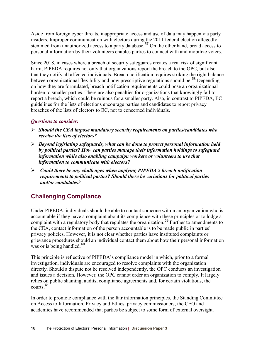Aside from foreign cyber threats, inappropriate access and use of data may happen via party insiders. Improper communication with electors during the 2011 federal election allegedly stemmed from unauthorized access to a party database.<sup>[57](#page-22-1)</sup> On the other hand, broad access to personal information by their volunteers enables parties to connect with and mobilize voters.

Since 2018, in cases where a breach of security safeguards creates a real risk of significant harm, PIPEDA requires not only that organizations report the breach to the OPC, but also that they notify all affected individuals. Breach notification requires striking the right balance between organizational flexibility and how prescriptive regulations should be.<sup>[58](#page-22-2)</sup> Depending on how they are formulated, breach notification requirements could pose an organizational burden to smaller parties. There are also penalties for organizations that knowingly fail to report a breach, which could be ruinous for a smaller party. Also, in contrast to PIPEDA, EC guidelines for the lists of elections encourage parties and candidates to report privacy breaches of the lists of electors to EC, not to concerned individuals.

#### *Questions to consider:*

- *Should the CEA impose mandatory security requirements on parties/candidates who receive the lists of electors?*
- *Beyond legislating safeguards, what can be done to protect personal information held by political parties? How can parties manage their information holdings to safeguard information while also enabling campaign workers or volunteers to use that information to communicate with electors?*
- *Could there be any challenges when applying PIPEDA's breach notification requirements to political parties? Should there be variations for political parties and/or candidates?*

### <span id="page-15-0"></span>**Challenging Compliance**

Under PIPEDA, individuals should be able to contact someone within an organization who is accountable if they have a complaint about its compliance with these principles or to lodge a complaint with a regulatory body that regulates the organization.<sup>[59](#page-22-3)</sup> Further to amendments to the CEA, contact information of the person accountable is to be made public in parties' privacy policies. However, it is not clear whether parties have instituted complaints or grievance procedures should an individual contact them about how their personal information was or is being handled.<sup>[60](#page-22-4)</sup>

This principle is reflective of PIPEDA's compliance model in which, prior to a formal investigation, individuals are encouraged to resolve complaints with the organization directly. Should a dispute not be resolved independently, the OPC conducts an investigation and issues a decision. However, the OPC cannot order an organization to comply. It largely relies on public shaming, audits, compliance agreements and, for certain violations, the courts<sup>[61](#page-22-5)</sup>

In order to promote compliance with the fair information principles, the Standing Committee on Access to Information, Privacy and Ethics, privacy commissioners, the CEO and academics have recommended that parties be subject to some form of external oversight.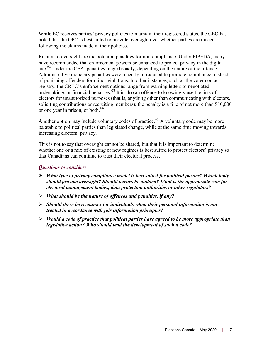While EC receives parties' privacy policies to maintain their registered status, the CEO has noted that the OPC is best suited to provide oversight over whether parties are indeed following the claims made in their policies.

Related to oversight are the potential penalties for non-compliance. Under PIPEDA, many have recommended that enforcement powers be enhanced to protect privacy in the digital age.<sup>[62](#page-22-6)</sup> Under the CEA, penalties range broadly, depending on the nature of the offence. Administrative monetary penalties were recently introduced to promote compliance, instead of punishing offenders for minor violations. In other instances, such as the voter contact registry, the CRTC's enforcement options range from warning letters to negotiated undertakings or financial penalties.<sup>[63](#page-22-7)</sup> It is also an offence to knowingly use the lists of electors for unauthorized purposes (that is, anything other than communicating with electors, soliciting contributions or recruiting members); the penalty is a fine of not more than \$10,000 or one year in prison, or both. [64](#page-22-8)

Another option may include voluntary codes of practice.<sup>[65](#page-22-9)</sup> A voluntary code may be more palatable to political parties than legislated change, while at the same time moving towards increasing electors' privacy.

This is not to say that oversight cannot be shared, but that it is important to determine whether one or a mix of existing or new regimes is best suited to protect electors' privacy so that Canadians can continue to trust their electoral process.

#### *Questions to consider:*

- *What type of privacy compliance model is best suited for political parties? Which body should provide oversight? Should parties be audited? What is the appropriate role for electoral management bodies, data protection authorities or other regulators?*
- *What should be the nature of offences and penalties, if any?*
- *Should there be recourses for individuals when their personal information is not treated in accordance with fair information principles?*
- *Would a code of practice that political parties have agreed to be more appropriate than legislative action? Who should lead the development of such a code?*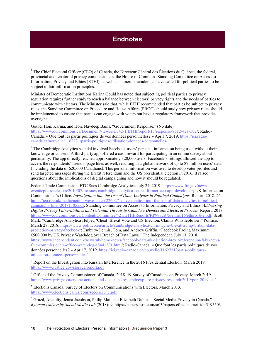### **Endnotes**

<span id="page-17-1"></span><sup>1</sup> The Chief Electoral Officer (CEO) of Canada, the Directeur Général des Élections du Québec, the federal, provincial and territorial privacy commissioners, the House of Commons Standing Committee on Access to Information, Privacy and Ethics (ETHI), as well as numerous academics have called for political parties to be subject to fair information principles.

<span id="page-17-0"></span> $\overline{a}$ 

Minister of Democratic Institutions Karina Gould has noted that subjecting political parties to privacy regulation requires further study to reach a balance between electors' privacy rights and the needs of parties to communicate with electors. The Minister said that, while ETHI recommended that parties be subject to privacy rules, the Standing Committee on Procedure and House Affairs (PROC) should study how privacy rules should be implemented to ensure that parties can engage with voters but have a regulatory framework that provides oversight.

Gould, Hon. Karina, and Hon. Navdeep Bains. "Government Response." (No date). [https://www.ourcommons.ca/DocumentViewer/en/42-1/ETHI/report-17/response-8512-421-502/](https://www.ourcommons.ca/DocumentViewer/en/42-1/ETHI/report-17/response-8512-421-502); Radio-Canada. « Que font les partis politiques de vos données personnelles? » April 7, 2019. [https://ici.radio](https://ici.radio-canada.ca/nouvelle/1162731/partis-politiques-utilisation-donnees-personnelles)[canada.ca/nouvelle/1162731/partis-politiques-utilisation-donnees-personnelles/](https://ici.radio-canada.ca/nouvelle/1162731/partis-politiques-utilisation-donnees-personnelles)

<span id="page-17-2"></span><sup>2</sup> The Cambridge Analytica scandal involved Facebook users' personal information being used without their knowledge or consent. A third-party app offered a cash reward for participating in an online survey about personality. The app directly reached approximately 320,000 users. Facebook's settings allowed the app to access the respondents' friends' page likes as well, resulting in a global network of up to 87 million users' data (including the data of 620,000 Canadians). This personal information was used to develop voter profiles and send targeted messages during the Brexit referendum and the US presidential election in 2016. It raised questions about the implications of digital campaigning and how it should be regulated.

Federal Trade Commission. FTC Sues Cambridge Analytica. July 24, 2019. [https://www.ftc.gov/news](https://www.ftc.gov/news-events/press-releases/2019/07/ftc-sues-cambridge-analytica-settles-former-ceo-app-developer/)[events/press-releases/2019/07/ftc-sues-cambridge-analytica-settles-former-ceo-app-developer/;](https://www.ftc.gov/news-events/press-releases/2019/07/ftc-sues-cambridge-analytica-settles-former-ceo-app-developer/) UK Information Commissioner's Office. *Investigation into the Use of Data Analytics in Political Campaigns.* Report. 2018. 26. [https://ico.org.uk/media/action-weve-taken/2260271/investigation-into-the-use-of-data-analytics-in-political](https://ico.org.uk/media/action-weve-taken/2260271/investigation-into-the-use-of-data-analytics-in-political-campaigns-final-20181105.pdf)[campaigns-final-20181105.pdf;](https://ico.org.uk/media/action-weve-taken/2260271/investigation-into-the-use-of-data-analytics-in-political-campaigns-final-20181105.pdf) Standing Committee on Access to Information, Privacy and Ethics. *Addressing Digital Privacy Vulnerabilities and Potential Threats to Canada's Democratic Electoral Process.* Report. 2018. [https://www.ourcommons.ca/Content/Committee/421/ETHI/Reports/RP9932875/ethirp16/ethirp16-e.pdf;](https://www.ourcommons.ca/Content/Committee/421/ETHI/Reports/RP9932875/ethirp16/ethirp16-e.pdf) Scott, Mark. "Cambridge Analytica Helped 'Cheat' Brexit Vote and US Election, Claims Whistleblower." Politico. March 27, 2018[. https://www.politico.eu/article/cambridge-analytica-chris-wylie-brexit-trump-britain-data](https://www.politico.eu/article/cambridge-analytica-chris-wylie-brexit-trump-britain-data-protection-privacy-facebook/)[protection-privacy-facebook/;](https://www.politico.eu/article/cambridge-analytica-chris-wylie-brexit-trump-britain-data-protection-privacy-facebook/) Embury-Dennis, Tom, and Andrew Griffin. "Facebook Facing Maximum £500,000 by UK Privacy Watchdog over Breach of Data Laws." The Independent. July 11, 2018. [https://www.independent.co.uk/news/uk/home-news/facebook-data-uk-election-brexit-referendum-fake-news](https://www.independent.co.uk/news/uk/home-news/facebook-data-uk-election-brexit-referendum-fake-news-fine-commissioners-office-watchdog-a8441301.html)[fine-commissioners-office-watchdog-a8441301.html/;](https://www.independent.co.uk/news/uk/home-news/facebook-data-uk-election-brexit-referendum-fake-news-fine-commissioners-office-watchdog-a8441301.html) Radio-Canada. « Que font les partis politiques de vos données personnelles? » April 7, 2019. [https://ici.radio-canada.ca/nouvelle/1162731/partis-politiques](https://ici.radio-canada.ca/nouvelle/1162731/partis-politiques-utilisation-donnees-personnelles/)[utilisation-donnees-personnelles/](https://ici.radio-canada.ca/nouvelle/1162731/partis-politiques-utilisation-donnees-personnelles/)

<span id="page-17-3"></span><sup>3</sup> Report on the Investigation into Russian Interference in the 2016 Presidential Election. March 2019. <https://www.justice.gov/storage/report.pdf>

<span id="page-17-4"></span><sup>4</sup> Office of the Privacy Commissioner of Canada, 2018–19 Survey of Canadians on Privacy. March 2019. [https://www.priv.gc.ca/en/opc-actions-and-decisions/research/explore-privacy-research/2019/por\\_2019\\_ca/](https://www.priv.gc.ca/en/opc-actions-and-decisions/research/explore-privacy-research/2019/por_2019_ca/)

<span id="page-17-5"></span><sup>5</sup> Elections Canada. Survey of Electors on Communications with Electors. March 2013. [https://www.elections.ca/res/cons/sece/sece\\_e.pdf](https://www.elections.ca/res/cons/sece/sece_e.pdf)

<span id="page-17-6"></span><sup>6</sup> Gruzd, Anatoliy, Jenna Jacobson, Philip Mai, and Elizabeth Dubois. "Social Media Privacy in Canada." *Ryerson University Social Media Lab* (2018): 9. https://papers.ssrn.com/sol3/papers.cfm?abstract\_id=3195503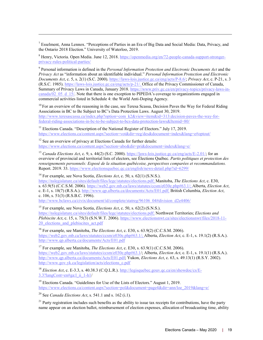<span id="page-18-0"></span><sup>7</sup> Esselment, Anna Lennox. "Perceptions of Parties in an Era of Big Data and Social Media: Data, Privacy, and the Ontario 2018 Election." University of Waterloo, 2019.

<span id="page-18-1"></span><sup>8</sup> Henry, Victoria. Open Media. June 12, 2018. [https://openmedia.org/en/72-people-canada-support-stronger](https://openmedia.org/en/72-people-canada-support-stronger-privacy-rules-political-parties)[privacy-rules-political-parties/](https://openmedia.org/en/72-people-canada-support-stronger-privacy-rules-political-parties)

<span id="page-18-2"></span><sup>9</sup> Personal information is defined in the *Personal Information Protection and Electronic Documents Act* and the *Privacy Act* as "information about an identifiable individual." *Personal Information Protection and Electronic Documents Act*, c. 5, s. 2(1) (S.C. 2000)[. https://laws-lois.justice.gc.ca/eng/acts/P-8.6/;](https://laws-lois.justice.gc.ca/eng/acts/P-8.6/) *Privacy Act*, c. P-21, s. 3 (R.S.C. 1985)[. https://laws-lois.justice.gc.ca/eng/acts/p-21/.](https://laws-lois.justice.gc.ca/eng/acts/p-21/) Office of the Privacy Commissioner of Canada, Summary of Privacy Laws in Canada, January 2018. [https://www.priv.gc.ca/en/privacy-topics/privacy-laws-in](https://www.priv.gc.ca/en/privacy-topics/privacy-laws-in-canada/02_05_d_15/)[canada/02\\_05\\_d\\_15/.](https://www.priv.gc.ca/en/privacy-topics/privacy-laws-in-canada/02_05_d_15/) Note that there is one exception to PIPEDA's coverage to organizations engaged in commercial activities listed in Schedule 4: the World Anti-Doping Agency.

<span id="page-18-3"></span> $10$  For an overview of the reasoning in the case, see Teresa Scassa, Decision Paves the Way for Federal Riding Associations in BC to Be Subject to BC's Data Protection Laws. August 30, 2019. [http://www.teresascassa.ca/index.php?option=com\\_k2&view=item&id=313:decision-paves-the-way-for](http://www.teresascassa.ca/index.php?option=com_k2&view=item&id=313:decision-paves-the-way-for-federal-riding-associations-in-bc-to-be-subject-to-bcs-data-protection-laws&Itemid=80)[federal-riding-associations-in-bc-to-be-subject-to-bcs-data-protection-laws&Itemid=80/](http://www.teresascassa.ca/index.php?option=com_k2&view=item&id=313:decision-paves-the-way-for-federal-riding-associations-in-bc-to-be-subject-to-bcs-data-protection-laws&Itemid=80)

<span id="page-18-4"></span><sup>11</sup> Elections Canada. "Description of the National Register of Electors." July 17, 2019. [https://www.elections.ca/content.aspx?section=vot&dir=reg/des&document=index&lang=e#optout/](https://www.elections.ca/content.aspx?section=vot&dir=reg/des&document=index&lang=e#optout)

<span id="page-18-5"></span><sup>12</sup> See an overview of privacy at Elections Canada for further details: [https://www.elections.ca/content.aspx?section=abo&dir=pri&document=index&lang=e/](https://www.elections.ca/content.aspx?section=abo&dir=pri&document=index&lang=e)

<span id="page-18-6"></span><sup>13</sup> *Canada Elections Act*, c. 9, s. 44(2) (S.C. 2000). [https://laws-lois.justice.gc.ca/eng/acts/E-2.01/;](https://laws-lois.justice.gc.ca/eng/acts/E-2.01/) for an overview of provincial and territorial lists of electors, see Élections Québec. *Partis politiques et protection des renseignements personnels: Exposé de la situation québécoise, perspectives comparées et recommandations.*  Report. 2019. 33. [https://www.electionsquebec.qc.ca/english/news-detail.php?id=6299/](https://www.electionsquebec.qc.ca/english/news-detail.php?id=6299)

<span id="page-18-7"></span><sup>14</sup> For example, see Nova Scotia, *Elections Act*, c. 50, s. 62(1) (S.N.S.).

 $\overline{a}$ 

[https://nslegislature.ca/sites/default/files/legc/statutes/elections.pdf;](https://nslegislature.ca/sites/default/files/legc/statutes/elections.pdf) Manitoba, *The Elections Act*, c. E30, s. 63.9(5) (C.C.S.M. 2006)[. https://web2.gov.mb.ca/laws/statutes/ccsm/e030e.php#63.1/](https://web2.gov.mb.ca/laws/statutes/ccsm/e030e.php#63.1); Alberta, *Election Act*, c. E-1, s. 18(7) (R.S.A.)[. http://www.qp.alberta.ca/documents/Acts/E01.pdf;](http://www.qp.alberta.ca/documents/Acts/E01.pdf) British Columbia, *Election Act*, c. 106, s. 51(3) (R.S.B.C. 1996).

[http://www.bclaws.ca/civix/document/id/complete/statreg/96106\\_04#division\\_d2e4406/](http://www.bclaws.ca/civix/document/id/complete/statreg/96106_04#division_d2e4406)

<span id="page-18-8"></span><sup>15</sup> For example, see Nova Scotia, *Elections Act*, c. 50, s. 62(2) (S.N.S.). [https://nslegislature.ca/sites/default/files/legc/statutes/elections.pdf;](https://nslegislature.ca/sites/default/files/legc/statutes/elections.pdf) Northwest Territories; *Elections and Plebiscite Act*, c. 15, s. 75(3) (S.N.W.T. 2006). [https://www.electionsnwt.ca/sites/electionsnwt/files/2018-11-](https://www.electionsnwt.ca/sites/electionsnwt/files/2018-11-20_elections_and_plebiscites_act.pdf) 20 elections and plebiscites act.pdf

<span id="page-18-9"></span><sup>16</sup> For example, see Manitoba, *The Elections Act*, c. E30, s. 63.9(2) (C.C.S.M. 2006). [https://web2.gov.mb.ca/laws/statutes/ccsm/e030e.php#63.1/](https://web2.gov.mb.ca/laws/statutes/ccsm/e030e.php#63.1); Alberta, *Election Act*, c. E-1, s. 19.1(2) (R.S.A.). <http://www.qp.alberta.ca/documents/Acts/E01.pdf>

<span id="page-18-10"></span><sup>17</sup> For example, see Manitoba, *The Elections Act*, c. E30, s. 63.9(1) (C.C.S.M. 2006). [https://web2.gov.mb.ca/laws/statutes/ccsm/e030e.php#63.1/](https://web2.gov.mb.ca/laws/statutes/ccsm/e030e.php#63.1); Alberta, *Election Act*, c. E-1, s. 19.1(1) (R.S.A.). [http://www.qp.alberta.ca/documents/Acts/E01.pdf;](http://www.qp.alberta.ca/documents/Acts/E01.pdf) Yukon, *Elections Act*, c. 63, s. 49.13(1) (R.S.Y. 2002). [http://www.gov.yk.ca/legislation/acts/elections\\_c.pdf](http://www.gov.yk.ca/legislation/acts/elections_c.pdf)

<span id="page-18-11"></span><sup>18</sup> *Election Act*, c. E-3.3, s. 40.38.3 (C.Q.L.R.). [http://legisquebec.gouv.qc.ca/en/showdoc/cs/E-](http://legisquebec.gouv.qc.ca/en/showdoc/cs/E-3.3?langCont=en#ga:l_ii_1-h1)[3.3?langCont=en#ga:l\\_ii\\_1-h1/](http://legisquebec.gouv.qc.ca/en/showdoc/cs/E-3.3?langCont=en#ga:l_ii_1-h1)

<span id="page-18-12"></span><sup>19</sup> Elections Canada. "Guidelines for Use of the Lists of Electors." August 1, 2019. [https://www.elections.ca/content.aspx?section=pol&document=page4&dir=ann/loe\\_2019&lang=e/](https://www.elections.ca/content.aspx?section=pol&document=page4&dir=ann/loe_2019&lang=e)

<span id="page-18-13"></span><sup>20</sup> See *Canada Elections Act*, s. 541.1 and s. 162 (i.1).

<span id="page-18-14"></span> $21$  Party registration includes such benefits as the ability to issue tax receipts for contributions, have the party name appear on an election ballot, reimbursement of election expenses, allocation of broadcasting time, ability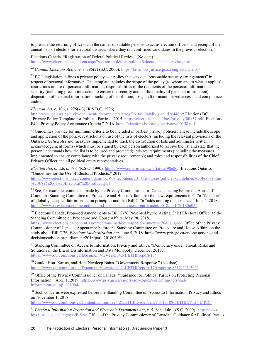to provide the returning officer with the names of suitable persons to act as election officers, and receipt of the annual lists of electors for electoral districts where they ran confirmed candidates in the previous election.

Elections Canada. "Registration of Federal Political Parties." (No date). [https://www.elections.ca/content.aspx?section=pol&dir=pol/bck&document=index&lang=e/](https://www.elections.ca/content.aspx?section=pol&dir=pol/bck&document=index&lang=e)

<span id="page-19-0"></span><sup>22</sup> *Canada Elections Act*, c. 9, s. 385(2) (S.C. 2000).<https://laws-lois.justice.gc.ca/eng/acts/E-2.01/>

<span id="page-19-1"></span> $^{23}$  BC's legislation defines a privacy policy as a policy that sets out "reasonable security arrangements" in respect of personal information. The template includes the scope of the policy (to whom and to what it applies); restrictions on use of personal information; responsibilities of the recipients of the personal information; security (including precautions taken to ensure the security and confidentiality of personal information); disposition of personal information; tracking of distribution; loss, theft or unauthorized access; and compliance audits.

*Election Act*, c. 106, s. 275(4.3) (R.S.B.C. 1996).

 $\overline{a}$ 

[http://www.bclaws.ca/civix/document/id/complete/statreg/96106\\_04#division\\_d2e4406/](http://www.bclaws.ca/civix/document/id/complete/statreg/96106_04#division_d2e4406); Elections BC. "Privacy Policy Template for Political Parties." 2015[. https://elections.bc.ca/docs/privacy/00157.pdf;](https://elections.bc.ca/docs/privacy/00157.pdf) Elections BC. "Privacy Policy Acceptance Criteria." 2016.<https://elections.bc.ca/docs/privacy/00158.pdf>

<span id="page-19-2"></span> $^{24}$  Guidelines provide for minimum criteria to be included in parties' privacy policies. These include the scope and application of the policy; restrictions on use of the lists of electors, including the relevant provisions of the Ontario *Election Act* and measures implemented to track the distribution of lists and administer written acknowledgement forms (which must be signed by each person authorized to receive the list and state that the person understands how the list is to be used and protected); privacy requirements (including the measures implemented to ensure compliance with the privacy requirements); and roles and responsibilities of the Chief Privacy Officer and all political entity representatives.

*Election Act*, c. E.6, s. 17.6 (R.S.O. 1990). [https://www.ontario.ca/laws/statute/90e06/](https://www.ontario.ca/laws/statute/90e06); Elections Ontario. "Guidelines for the Use of Electoral Products." 2019.

[https://www.elections.on.ca/content/dam/NGW/sitecontent/2017/resources/policies/Guidelines%20For%20the](https://www.elections.on.ca/content/dam/NGW/sitecontent/2017/resources/policies/Guidelines%20For%20the%20Use%20of%20Electoral%20Products.pdf) [%20Use%20of%20Electoral%20Products.pdf](https://www.elections.on.ca/content/dam/NGW/sitecontent/2017/resources/policies/Guidelines%20For%20the%20Use%20of%20Electoral%20Products.pdf)

<span id="page-19-3"></span><sup>25</sup> See, for example, comments made by the Privacy Commissioner of Canada, stating before the House of Commons Standing Committee on Procedure and House Affairs that the new requirements in C-76 "fall short" of globally accepted fair information principles and that Bill C-76 "adds nothing of substance." June 5, 2018. [https://www.priv.gc.ca/en/opc-actions-and-decisions/advice-to-parliament/2018/parl\\_20180605/](https://www.priv.gc.ca/en/opc-actions-and-decisions/advice-to-parliament/2018/parl_20180605/)

<span id="page-19-4"></span><sup>26</sup> Elections Canada, Proposed Amendments to Bill C-76 Presented by the Acting Chief Electoral Officer to the Standing Committee on Procedure and House Affairs. May 28, 2018.

[https://www.elections.ca/content.aspx?section=med&dir=spe&document=c76&lang=e/;](https://www.elections.ca/content.aspx?section=med&dir=spe&document=c76&lang=e/) Office of the Privacy Commissioner of Canada, Appearance before the Standing Committee on Procedure and House Affairs on the study about Bill C-76, *Elections Modernization Act.* June 5, 2018[. https://www.priv.gc.ca/en/opc-actions-and](https://www.priv.gc.ca/en/opc-actions-and-decisions/advice-to-parliament/2018/parl_20180605/)[decisions/advice-to-parliament/2018/parl\\_20180605/](https://www.priv.gc.ca/en/opc-actions-and-decisions/advice-to-parliament/2018/parl_20180605/)

<span id="page-19-5"></span><sup>27</sup> Standing Committee on Access to Information, Privacy and Ethics. "Democracy under Threat: Risks and Solutions in the Era of Disinformation and Data Monopoly. December 2018. [https://www.ourcommons.ca/DocumentViewer/en/42-1/ETHI/report-17/](https://www.ourcommons.ca/DocumentViewer/en/42-1/ETHI/report-17)

<span id="page-19-6"></span> $28$  Gould, Hon. Karina, and Hon. Navdeep Bains. "Government Response." (No date). [https://www.ourcommons.ca/DocumentViewer/en/42-1/ETHI/report-17/response-8512-421-502/](https://www.ourcommons.ca/DocumentViewer/en/42-1/ETHI/report-17/response-8512-421-502)

<span id="page-19-7"></span><sup>29</sup> Office of the Privacy Commissioner of Canada. "Guidance for Political Parties on Protecting Personal Information." April 1, 2019. [https://www.priv.gc.ca/en/privacy-topics/collecting-personal](https://www.priv.gc.ca/en/privacy-topics/collecting-personal-information/gd_pp_201904)[information/gd\\_pp\\_201904/](https://www.priv.gc.ca/en/privacy-topics/collecting-personal-information/gd_pp_201904)

<span id="page-19-8"></span><sup>30</sup> Such concerns were expressed before the Standing Committee on Access to Information, Privacy and Ethics on November 1, 2018.

<https://www.ourcommons.ca/Content/Committee/421/ETHI/Evidence/EV10151086/ETHIEV124-E.PDF>

<span id="page-19-9"></span><sup>31</sup> Personal Information Protection and Electronic Documents Act, c. 5, Schedule 1 (S.C. 2000)[. https://laws](https://laws-lois.justice.gc.ca/eng/acts/P-8.6/)[lois.justice.gc.ca/eng/acts/P-8.6/;](https://laws-lois.justice.gc.ca/eng/acts/P-8.6/) Office of the Privacy Commissioner of Canada. "Guidance for Political Parties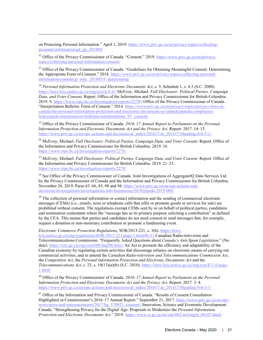on Protecting Personal Information." April 1, 2019. [https://www.priv.gc.ca/en/privacy-topics/collecting](https://www.priv.gc.ca/en/privacy-topics/collecting-personal-information/gd_pp_201904)[personal-information/gd\\_pp\\_201904/](https://www.priv.gc.ca/en/privacy-topics/collecting-personal-information/gd_pp_201904)

 $\overline{a}$ 

<span id="page-20-0"></span><sup>32</sup> Office of the Privacy Commissioner of Canada. "Consent." 2019. [https://www.priv.gc.ca/en/privacy](https://www.priv.gc.ca/en/privacy-topics/collecting-personal-information/consent/)[topics/collecting-personal-information/consent/](https://www.priv.gc.ca/en/privacy-topics/collecting-personal-information/consent/)

<span id="page-20-1"></span><sup>33</sup> Office of the Privacy Commissioner of Canada. "Guidelines for Obtaining Meaningful Consent: Determining the Appropriate Form of Consent." 2018[. https://www.priv.gc.ca/en/privacy-topics/collecting-personal](https://www.priv.gc.ca/en/privacy-topics/collecting-personal-information/consent/gl_omc_201805/#_determining)[information/consent/gl\\_omc\\_201805/#\\_determining/](https://www.priv.gc.ca/en/privacy-topics/collecting-personal-information/consent/gl_omc_201805/#_determining)

<span id="page-20-2"></span><sup>34</sup> *Personal Information Protection and Electronic Documents Act*, c. 5, Schedule 1, s. 4.3 (S.C. 2000). [https://laws-lois.justice.gc.ca/eng/acts/p-8.6/;](https://laws-lois.justice.gc.ca/eng/acts/p-8.6/) McEvoy, Michael. *Full Disclosure: Political Parties, Campaign Data, and Voter Consent.* Report. Office of the Information and Privacy Commissioner for British Columbia. 2019. 9. [https://www.oipc.bc.ca/investigation-reports/2278/](https://www.oipc.bc.ca/investigation-reports/2278); Office of the Privacy Commissioner of Canada. "Interpretation Bulletin: Form of Consent." 2014. [https://www.priv.gc.ca/en/privacy-topics/privacy-laws-in](https://www.priv.gc.ca/en/privacy-topics/privacy-laws-in-canada/the-personal-information-protection-and-electronic-documents-act-pipeda/pipeda-compliance-help/pipeda-interpretation-bulletins/interpretations_07_consent/)[canada/the-personal-information-protection-and-electronic-documents-act-pipeda/pipeda-compliance](https://www.priv.gc.ca/en/privacy-topics/privacy-laws-in-canada/the-personal-information-protection-and-electronic-documents-act-pipeda/pipeda-compliance-help/pipeda-interpretation-bulletins/interpretations_07_consent/)[help/pipeda-interpretation-bulletins/interpretations\\_07\\_consent/](https://www.priv.gc.ca/en/privacy-topics/privacy-laws-in-canada/the-personal-information-protection-and-electronic-documents-act-pipeda/pipeda-compliance-help/pipeda-interpretation-bulletins/interpretations_07_consent/)

<span id="page-20-3"></span><sup>35</sup> Office of the Privacy Commissioner of Canada. *2016–17 Annual Report to Parliament on the Personal Information Protection and Electronic Documents Act and the Privacy Act.* Report. 2017. 14–15. [https://www.priv.gc.ca/en/opc-actions-and-decisions/ar\\_index/201617/ar\\_201617/#heading-0-0-3-1/](https://www.priv.gc.ca/en/opc-actions-and-decisions/ar_index/201617/ar_201617/#heading-0-0-3-1)

<span id="page-20-4"></span><sup>36</sup> McEvoy, Michael. *Full Disclosure: Political Parties, Campaign Data, and Voter Consent.* Report. Office of the Information and Privacy Commissioner for British Columbia. 2019. 16. [https://www.oipc.bc.ca/investigation-reports/2278/](https://www.oipc.bc.ca/investigation-reports/2278)

<span id="page-20-5"></span><sup>37</sup> McEvoy, Michael. *Full Disclosure: Political Parties, Campaign Data, and Voter Consent. Report. Office of* the Information and Privacy Commissioner for British Columbia. 2019. 21–23. [https://www.oipc.bc.ca/investigation-reports/2278/](https://www.oipc.bc.ca/investigation-reports/2278)

<span id="page-20-6"></span><sup>38</sup> See Office of the Privacy Commissioner of Canada. Joint Investigations of AggregateIQ Data Services Ltd. by the Privacy Commissioner of Canada and the Information and Privacy Commissioner for British Columbia. November 26, 2019. Paras 63–66, 85–98 and 94. [https://www.priv.gc.ca/en/opc-actions-and](https://www.priv.gc.ca/en/opc-actions-and-decisions/investigations/investigations-into-businesses/2019/pipeda-2019-004/)[decisions/investigations/investigations-into-businesses/2019/pipeda-2019-004/](https://www.priv.gc.ca/en/opc-actions-and-decisions/investigations/investigations-into-businesses/2019/pipeda-2019-004/)

<span id="page-20-7"></span><sup>39</sup> The collection of personal information or contact information and the sending of commercial electronic messages (CEMs) (i.e., emails, texts or telephone calls that offer or promote goods or services for sale) are prohibited without consent. The regulations exempt CEMs sent by or on behalf of political parties, candidates and nomination contestants where the "message has as its primary purpose soliciting a contribution" as defined by the CEA. This means that parties and candidates do not need consent to send messages that, for example, request a donation or non-monetary contribution or promote a fundraising event.

*Electronic Commerce Protection Regulations*, SOR/2013-221, s. 3(h)[. https://laws-](https://laws-lois.justice.gc.ca/eng/regulations/SOR-2013-221/page-1.html#h-5)

[lois.justice.gc.ca/eng/regulations/SOR-2013-221/page-1.html#h-5/](https://laws-lois.justice.gc.ca/eng/regulations/SOR-2013-221/page-1.html#h-5); Canadian Radio-television and Telecommunications Commission. "Frequently Asked Questions about *Canada's Anti-Spam Legislation*." (No date). [https://crtc.gc.ca/eng/com500/faq500.htm/](https://crtc.gc.ca/eng/com500/faq500.htm); An Act to promote the efficiency and adaptability of the Canadian economy by regulating certain activities that discourage reliance on electronic means of carrying out commercial activities, and to amend the *Canadian Radio-television and Telecommunications Commission Act*, the *Competition Act*, the *Personal Information Protection and Electronic Documents Ac*t and the *Telecommunications Act*, c. 23, s. 10(13)(a)(b) (S.C. 2010). [https://laws-lois.justice.gc.ca/eng/acts/E-1.6/page-](https://laws-lois.justice.gc.ca/eng/acts/E-1.6/page-1.html)[1.html/](https://laws-lois.justice.gc.ca/eng/acts/E-1.6/page-1.html)

<span id="page-20-8"></span><sup>40</sup> Office of the Privacy Commissioner of Canada. *2016–17 Annual Report to Parliament on the Personal Information Protection and Electronic Documents Act and the Privacy Act.* Report. 2017. 3–4. [https://www.priv.gc.ca/en/opc-actions-and-decisions/ar\\_index/201617/ar\\_201617/#heading-0-0-3-1/](https://www.priv.gc.ca/en/opc-actions-and-decisions/ar_index/201617/ar_201617/#heading-0-0-3-1)

<span id="page-20-9"></span><sup>41</sup> Office of the Information and Privacy Commissioner of Canada. "Results of Consent Consultation Highlighted in Commissioner's 2016–17 Annual Report." September 21, 2017. [https://www.priv.gc.ca/en/opc](https://www.priv.gc.ca/en/opc-news/news-and-announcements/2017/bg_170921_consent/)[news/news-and-announcements/2017/bg\\_170921\\_consent/;](https://www.priv.gc.ca/en/opc-news/news-and-announcements/2017/bg_170921_consent/) Innovation, Science and Economic Development Canada. "Strengthening Privacy for the Digital Age: Proposals to Modernize the *Personal Information Protection and Electronic Documents Act*." 2019[. https://www.ic.gc.ca/eic/site/062.nsf/eng/h\\_00107.html/](https://www.ic.gc.ca/eic/site/062.nsf/eng/h_00107.html)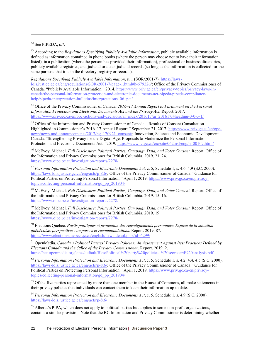<span id="page-21-0"></span> $42$  See PIPEDA, s.7.

 $\overline{a}$ 

<span id="page-21-1"></span><sup>43</sup> According to the *Regulations Specifying Publicly Available Information*, publicly available information is defined as information contained in phone books (where the person may choose not to have their information listed), in a publication (where the person has provided their information), professional or business directories, publicly available registries, and judicial or quasi-judicial records (so long as the information is collected for the same purpose that it is in the directory, registry or records).

*Regulations Specifying Publicly Available Information*, s. 1 (SOR/2001-7). [https://laws](https://laws-lois.justice.gc.ca/eng/regulations/SOR-2001-7/page-1.html#h-679226)[lois.justice.gc.ca/eng/regulations/SOR-2001-7/page-1.html#h-679226/](https://laws-lois.justice.gc.ca/eng/regulations/SOR-2001-7/page-1.html#h-679226); Office of the Privacy Commissioner of Canada. "Publicly Available Information." 2014. [https://www.priv.gc.ca/en/privacy-topics/privacy-laws-in](https://www.priv.gc.ca/en/privacy-topics/privacy-laws-in-canada/the-personal-information-protection-and-electronic-documents-act-pipeda/pipeda-compliance-help/pipeda-interpretation-bulletins/interpretations_06_pai/)[canada/the-personal-information-protection-and-electronic-documents-act-pipeda/pipeda-compliance](https://www.priv.gc.ca/en/privacy-topics/privacy-laws-in-canada/the-personal-information-protection-and-electronic-documents-act-pipeda/pipeda-compliance-help/pipeda-interpretation-bulletins/interpretations_06_pai/)[help/pipeda-interpretation-bulletins/interpretations\\_06\\_pai/](https://www.priv.gc.ca/en/privacy-topics/privacy-laws-in-canada/the-personal-information-protection-and-electronic-documents-act-pipeda/pipeda-compliance-help/pipeda-interpretation-bulletins/interpretations_06_pai/)

<span id="page-21-2"></span><sup>44</sup> Office of the Privacy Commissioner of Canada. *2016–17 Annual Report to Parliament on the Personal Information Protection and Electronic Documents Act and the Privacy Act.* Report. 2017. [https://www.priv.gc.ca/en/opc-actions-and-decisions/ar\\_index/201617/ar\\_201617/#heading-0-0-3-1/](https://www.priv.gc.ca/en/opc-actions-and-decisions/ar_index/201617/ar_201617/#heading-0-0-3-1)

<span id="page-21-3"></span><sup>45</sup> Office of the Information and Privacy Commissioner of Canada. "Results of Consent Consultation Highlighted in Commissioner's 2016–17 Annual Report." September 21, 2017. [https://www.priv.gc.ca/en/opc](https://www.priv.gc.ca/en/opc-news/news-and-announcements/2017/bg_170921_consent/)[news/news-and-announcements/2017/bg\\_170921\\_consent/;](https://www.priv.gc.ca/en/opc-news/news-and-announcements/2017/bg_170921_consent/) Innovation, Science and Economic Development Canada. "Strengthening Privacy for the Digital Age: Proposals to Modernize the Personal Information Protection and Electronic Documents Act." 2019. [https://www.ic.gc.ca/eic/site/062.nsf/eng/h\\_00107.html/](https://www.ic.gc.ca/eic/site/062.nsf/eng/h_00107.html)

<span id="page-21-4"></span><sup>46</sup> McEvoy, Michael. *Full Disclosure: Political Parties, Campaign Data, and Voter Consent. Report. Office of* the Information and Privacy Commissioner for British Columbia. 2019. 21, 24. [https://www.oipc.bc.ca/investigation-reports/2278/](https://www.oipc.bc.ca/investigation-reports/2278)

<span id="page-21-5"></span><sup>47</sup> *Personal Information Protection and Electronic Documents Act*, c. 5, Schedule 1, s. 4.6, 4.9 (S.C. 2000). [https://laws-lois.justice.gc.ca/eng/acts/p-8.6/;](https://laws-lois.justice.gc.ca/eng/acts/p-8.6/) Office of the Privacy Commissioner of Canada. "Guidance for Political Parties on Protecting Personal Information." April 1, 2019. [https://www.priv.gc.ca/en/privacy](https://www.priv.gc.ca/en/privacy-topics/collecting-personal-information/gd_pp_201904)[topics/collecting-personal-information/gd\\_pp\\_201904/](https://www.priv.gc.ca/en/privacy-topics/collecting-personal-information/gd_pp_201904)

<span id="page-21-6"></span><sup>48</sup> McEvoy, Michael. *Full Disclosure: Political Parties, Campaign Data, and Voter Consent.* Report. Office of the Information and Privacy Commissioner for British Columbia. 2019. 15–16. [https://www.oipc.bc.ca/investigation-reports/2278/](https://www.oipc.bc.ca/investigation-reports/2278)

<span id="page-21-7"></span><sup>49</sup> McEvoy, Michael. *Full Disclosure: Political Parties, Campaign Data, and Voter Consent.* Report. Office of the Information and Privacy Commissioner for British Columbia. 2019. 19. [https://www.oipc.bc.ca/investigation-reports/2278/](https://www.oipc.bc.ca/investigation-reports/2278)

<span id="page-21-8"></span><sup>50</sup> Élections Québec. *Partis politiques et protection des renseignements personnels: Exposé de la situation québécoise, perspectives comparées et recommandations.* Report. 2019. 87. [https://www.electionsquebec.qc.ca/english/news-detail.php?id=6299/](https://www.electionsquebec.qc.ca/english/news-detail.php?id=6299)

<span id="page-21-9"></span><sup>51</sup> OpenMedia. *Canada's Political Parties' Privacy Policies: An Assessment Against Best Practices Defined by Elections Canada and the Office of the Privacy Commissioner.* Report. 2019. 2. [https://act.openmedia.org/sites/default/files/Political%20party%20policies\\_%20scorecard%20analysis.pdf](https://act.openmedia.org/sites/default/files/Political%20party%20policies_%20scorecard%20analysis.pdf)

<span id="page-21-10"></span><sup>52</sup> *Personal Information Protection and Electronic Documents Act*, c. 5, Schedule 1, s. 4.2, 4.4, 4.5 (S.C. 2000). [https://laws-lois.justice.gc.ca/eng/acts/p-8.6/;](https://laws-lois.justice.gc.ca/eng/acts/p-8.6/) Office of the Privacy Commissioner of Canada. "Guidance for Political Parties on Protecting Personal Information." April 1, 2019[. https://www.priv.gc.ca/en/privacy](https://www.priv.gc.ca/en/privacy-topics/collecting-personal-information/gd_pp_201904)[topics/collecting-personal-information/gd\\_pp\\_201904/](https://www.priv.gc.ca/en/privacy-topics/collecting-personal-information/gd_pp_201904)

<span id="page-21-11"></span><sup>53</sup> Of the five parties represented by more than one member in the House of Commons, all make statements in their privacy policies that individuals can contact them to keep their information up to date.

<span id="page-21-12"></span><sup>54</sup> *Personal Information Protection and Electronic Documents Act*, c. 5, Schedule 1, s. 4.9 (S.C. 2000). <https://laws-lois.justice.gc.ca/eng/acts/p-8.6/>

<span id="page-21-13"></span><sup>55</sup> Alberta's PIPA, which does not apply to political parties but applies to some non-profit organizations, contains a similar provision. Note that the BC Information and Privacy Commissioner is determining whether